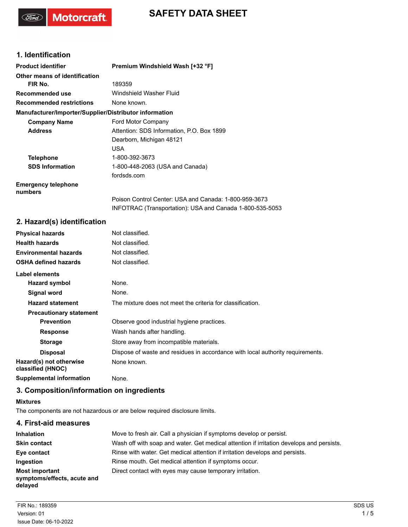

### **1. Identification**

( For

Motorcraft.

| <b>Product identifier</b>                              | Premium Windshield Wash [+32 °F]                         |
|--------------------------------------------------------|----------------------------------------------------------|
| Other means of identification                          |                                                          |
| FIR No.                                                | 189359                                                   |
| Recommended use                                        | Windshield Washer Fluid                                  |
| <b>Recommended restrictions</b>                        | None known.                                              |
| Manufacturer/Importer/Supplier/Distributor information |                                                          |
| <b>Company Name</b>                                    | <b>Ford Motor Company</b>                                |
| <b>Address</b>                                         | Attention: SDS Information, P.O. Box 1899                |
|                                                        | Dearborn, Michigan 48121                                 |
|                                                        | <b>USA</b>                                               |
| <b>Telephone</b>                                       | 1-800-392-3673                                           |
| <b>SDS Information</b>                                 | 1-800-448-2063 (USA and Canada)                          |
|                                                        | fordsds.com                                              |
| <b>Emergency telephone</b><br>numbers                  |                                                          |
|                                                        | Poison Control Center: USA and Canada: 1-800-959-3673    |
|                                                        | INFOTRAC (Transportation): USA and Canada 1-800-535-5053 |

## **2. Hazard(s) identification**

| <b>Physical hazards</b>                      | Not classified.                                                                |
|----------------------------------------------|--------------------------------------------------------------------------------|
| <b>Health hazards</b>                        | Not classified.                                                                |
| <b>Environmental hazards</b>                 | Not classified.                                                                |
| <b>OSHA defined hazards</b>                  | Not classified.                                                                |
| Label elements                               |                                                                                |
| Hazard symbol                                | None.                                                                          |
| Signal word                                  | None.                                                                          |
| <b>Hazard statement</b>                      | The mixture does not meet the criteria for classification.                     |
| <b>Precautionary statement</b>               |                                                                                |
| <b>Prevention</b>                            | Observe good industrial hygiene practices.                                     |
| <b>Response</b>                              | Wash hands after handling.                                                     |
| <b>Storage</b>                               | Store away from incompatible materials.                                        |
| <b>Disposal</b>                              | Dispose of waste and residues in accordance with local authority requirements. |
| Hazard(s) not otherwise<br>classified (HNOC) | None known.                                                                    |
| <b>Supplemental information</b>              | None.                                                                          |

### **3. Composition/information on ingredients**

#### **Mixtures**

The components are not hazardous or are below required disclosure limits.

### **4. First-aid measures**

| <b>Inhalation</b>                                               | Move to fresh air. Call a physician if symptoms develop or persist.                      |
|-----------------------------------------------------------------|------------------------------------------------------------------------------------------|
| <b>Skin contact</b>                                             | Wash off with soap and water. Get medical attention if irritation develops and persists. |
| Eye contact                                                     | Rinse with water. Get medical attention if irritation develops and persists.             |
| <b>Ingestion</b>                                                | Rinse mouth. Get medical attention if symptoms occur.                                    |
| <b>Most important</b><br>symptoms/effects, acute and<br>delayed | Direct contact with eyes may cause temporary irritation.                                 |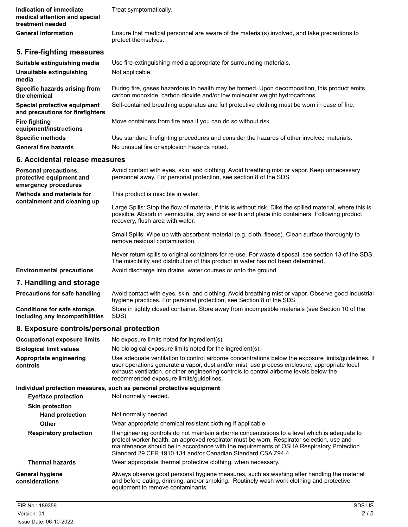**Indication of immediate** Treat symptomatically. **medical attention and special treatment needed**

**General information**

Ensure that medical personnel are aware of the material(s) involved, and take precautions to protect themselves.

### **5. Fire-fighting measures**

| Suitable extinguishing media                                     | Use fire-extinguishing media appropriate for surrounding materials.                                                                                                       |
|------------------------------------------------------------------|---------------------------------------------------------------------------------------------------------------------------------------------------------------------------|
| Unsuitable extinguishing<br>media                                | Not applicable.                                                                                                                                                           |
| Specific hazards arising from<br>the chemical                    | During fire, gases hazardous to health may be formed. Upon decomposition, this product emits<br>carbon monoxide, carbon dioxide and/or low molecular weight hydrocarbons. |
| Special protective equipment<br>and precautions for firefighters | Self-contained breathing apparatus and full protective clothing must be worn in case of fire.                                                                             |
| Fire fighting<br>equipment/instructions                          | Move containers from fire area if you can do so without risk.                                                                                                             |
| <b>Specific methods</b>                                          | Use standard firefighting procedures and consider the hazards of other involved materials.                                                                                |
| <b>General fire hazards</b>                                      | No unusual fire or explosion hazards noted.                                                                                                                               |

### **6. Accidental release measures**

| Personal precautions,<br>protective equipment and<br>emergency procedures | Avoid contact with eyes, skin, and clothing. Avoid breathing mist or vapor. Keep unnecessary<br>personnel away. For personal protection, see section 8 of the SDS.                                                                                |
|---------------------------------------------------------------------------|---------------------------------------------------------------------------------------------------------------------------------------------------------------------------------------------------------------------------------------------------|
| <b>Methods and materials for</b><br>containment and cleaning up           | This product is miscible in water.                                                                                                                                                                                                                |
|                                                                           | Large Spills: Stop the flow of material, if this is without risk. Dike the spilled material, where this is<br>possible. Absorb in vermiculite, dry sand or earth and place into containers. Following product<br>recovery, flush area with water. |
|                                                                           | Small Spills: Wipe up with absorbent material (e.g. cloth, fleece). Clean surface thoroughly to<br>remove residual contamination.                                                                                                                 |
|                                                                           | Never return spills to original containers for re-use. For waste disposal, see section 13 of the SDS.<br>The miscibility and distribution of this product in water has not been determined.                                                       |
| <b>Environmental precautions</b>                                          | Avoid discharge into drains, water courses or onto the ground.                                                                                                                                                                                    |
| 7. Handling and storage                                                   |                                                                                                                                                                                                                                                   |
| Precautions for safe handling                                             | Avoid contact with eyes, skin, and clothing. Avoid breathing mist or vapor. Observe good industrial<br>hygiene practices. For personal protection, see Section 8 of the SDS.                                                                      |

# **8. Exposure controls/personal protection**

**Conditions for safe storage, including any incompatibilities**

| Occupational exposure limits        | No exposure limits noted for ingredient(s).                                                                                                                                                                                                                                                                                                |
|-------------------------------------|--------------------------------------------------------------------------------------------------------------------------------------------------------------------------------------------------------------------------------------------------------------------------------------------------------------------------------------------|
| <b>Biological limit values</b>      | No biological exposure limits noted for the ingredient(s).                                                                                                                                                                                                                                                                                 |
| Appropriate engineering<br>controls | Use adequate ventilation to control airborne concentrations below the exposure limits/quidelines. If<br>user operations generate a vapor, dust and/or mist, use process enclosure, appropriate local<br>exhaust ventilation, or other engineering controls to control airborne levels below the<br>recommended exposure limits/quidelines. |

Store in tightly closed container. Store away from incompatible materials (see Section 10 of the

#### **Individual protection measures, such as personal protective equipment**

SDS).

| <b>Eye/face protection</b>               | Not normally needed.                                                                                                                                                                                                                                                                                                                                     |
|------------------------------------------|----------------------------------------------------------------------------------------------------------------------------------------------------------------------------------------------------------------------------------------------------------------------------------------------------------------------------------------------------------|
| <b>Skin protection</b>                   |                                                                                                                                                                                                                                                                                                                                                          |
| <b>Hand protection</b>                   | Not normally needed.                                                                                                                                                                                                                                                                                                                                     |
| <b>Other</b>                             | Wear appropriate chemical resistant clothing if applicable.                                                                                                                                                                                                                                                                                              |
| <b>Respiratory protection</b>            | If engineering controls do not maintain airborne concentrations to a level which is adequate to<br>protect worker health, an approved respirator must be worn. Respirator selection, use and<br>maintenance should be in accordance with the requirements of OSHA Respiratory Protection<br>Standard 29 CFR 1910.134 and/or Canadian Standard CSA Z94.4. |
| <b>Thermal hazards</b>                   | Wear appropriate thermal protective clothing, when necessary.                                                                                                                                                                                                                                                                                            |
| <b>General hygiene</b><br>considerations | Always observe good personal hygiene measures, such as washing after handling the material<br>and before eating, drinking, and/or smoking. Routinely wash work clothing and protective<br>equipment to remove contaminants.                                                                                                                              |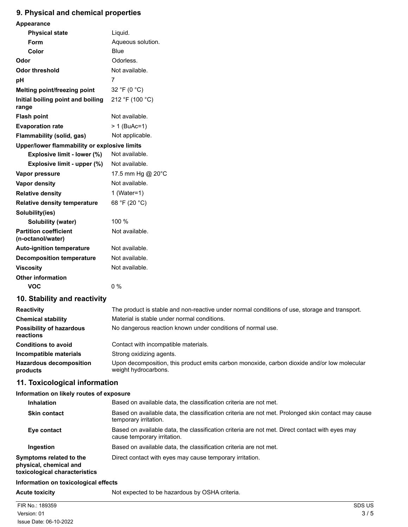# **9. Physical and chemical properties**

| <b>Appearance</b>                                 |                   |
|---------------------------------------------------|-------------------|
| <b>Physical state</b>                             | Liquid.           |
| Form                                              | Aqueous solution. |
| Color                                             | Blue              |
| Odor                                              | Odorless.         |
| Odor threshold                                    | Not available.    |
| рH                                                | 7                 |
| Melting point/freezing point                      | 32 °F (0 °C)      |
| Initial boiling point and boiling<br>range        | 212 °F (100 °C)   |
| <b>Flash point</b>                                | Not available.    |
| <b>Evaporation rate</b>                           | > 1 (BuAc=1)      |
| Flammability (solid, gas)                         | Not applicable.   |
| Upper/lower flammability or explosive limits      |                   |
| Explosive limit - lower (%)                       | Not available.    |
| Explosive limit - upper (%)                       | Not available.    |
| Vapor pressure                                    | 17.5 mm Hg @ 20°C |
| <b>Vapor density</b>                              | Not available.    |
| <b>Relative density</b>                           | 1 (Water=1)       |
| <b>Relative density temperature</b>               | 68 °F (20 °C)     |
| Solubility(ies)                                   |                   |
| Solubility (water)                                | 100 %             |
| <b>Partition coefficient</b><br>(n-octanol/water) | Not available.    |
| <b>Auto-ignition temperature</b>                  | Not available.    |
| <b>Decomposition temperature</b>                  | Not available.    |
| <b>Viscosity</b>                                  | Not available.    |
| <b>Other information</b>                          |                   |
| VOC                                               | $0\%$             |

### **10. Stability and reactivity**

| <b>Reactivity</b>                            | The product is stable and non-reactive under normal conditions of use, storage and transport.                       |
|----------------------------------------------|---------------------------------------------------------------------------------------------------------------------|
| <b>Chemical stability</b>                    | Material is stable under normal conditions.                                                                         |
| <b>Possibility of hazardous</b><br>reactions | No dangerous reaction known under conditions of normal use.                                                         |
| <b>Conditions to avoid</b>                   | Contact with incompatible materials.                                                                                |
| Incompatible materials                       | Strong oxidizing agents.                                                                                            |
| <b>Hazardous decomposition</b><br>products   | Upon decomposition, this product emits carbon monoxide, carbon dioxide and/or low molecular<br>weight hydrocarbons. |

# **11. Toxicological information**

#### **Information on likely routes of exposure**

| <b>Inhalation</b>                                                                  | Based on available data, the classification criteria are not met.                                                             |
|------------------------------------------------------------------------------------|-------------------------------------------------------------------------------------------------------------------------------|
| <b>Skin contact</b>                                                                | Based on available data, the classification criteria are not met. Prolonged skin contact may cause<br>temporary irritation.   |
| Eye contact                                                                        | Based on available data, the classification criteria are not met. Direct contact with eyes may<br>cause temporary irritation. |
| Ingestion                                                                          | Based on available data, the classification criteria are not met.                                                             |
| Symptoms related to the<br>physical, chemical and<br>toxicological characteristics | Direct contact with eyes may cause temporary irritation.                                                                      |

### **Information on toxicological effects**

**Acute toxicity** Not expected to be hazardous by OSHA criteria.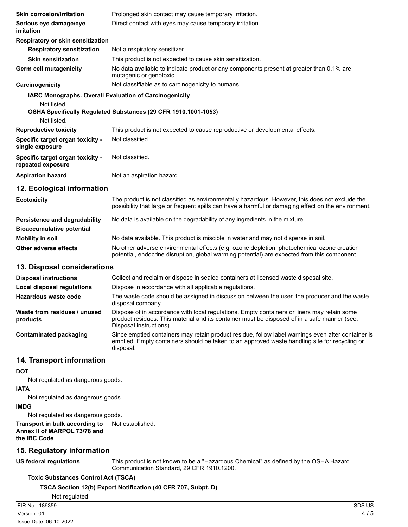| <b>Skin corrosion/irritation</b>                                               | Prolonged skin contact may cause temporary irritation.                                                                                                                                                                 |
|--------------------------------------------------------------------------------|------------------------------------------------------------------------------------------------------------------------------------------------------------------------------------------------------------------------|
| Serious eye damage/eye<br>irritation                                           | Direct contact with eyes may cause temporary irritation.                                                                                                                                                               |
| Respiratory or skin sensitization                                              |                                                                                                                                                                                                                        |
| <b>Respiratory sensitization</b>                                               | Not a respiratory sensitizer.                                                                                                                                                                                          |
| <b>Skin sensitization</b>                                                      | This product is not expected to cause skin sensitization.                                                                                                                                                              |
| Germ cell mutagenicity                                                         | No data available to indicate product or any components present at greater than 0.1% are<br>mutagenic or genotoxic.                                                                                                    |
| Carcinogenicity                                                                | Not classifiable as to carcinogenicity to humans.                                                                                                                                                                      |
| IARC Monographs. Overall Evaluation of Carcinogenicity<br>Not listed.          |                                                                                                                                                                                                                        |
| Not listed.                                                                    | OSHA Specifically Regulated Substances (29 CFR 1910.1001-1053)                                                                                                                                                         |
| <b>Reproductive toxicity</b>                                                   | This product is not expected to cause reproductive or developmental effects.                                                                                                                                           |
| Specific target organ toxicity -<br>single exposure                            | Not classified.                                                                                                                                                                                                        |
| Specific target organ toxicity -<br>repeated exposure                          | Not classified.                                                                                                                                                                                                        |
| <b>Aspiration hazard</b>                                                       | Not an aspiration hazard.                                                                                                                                                                                              |
| 12. Ecological information                                                     |                                                                                                                                                                                                                        |
| <b>Ecotoxicity</b>                                                             | The product is not classified as environmentally hazardous. However, this does not exclude the<br>possibility that large or frequent spills can have a harmful or damaging effect on the environment.                  |
| Persistence and degradability<br><b>Bioaccumulative potential</b>              | No data is available on the degradability of any ingredients in the mixture.                                                                                                                                           |
| <b>Mobility in soil</b>                                                        | No data available. This product is miscible in water and may not disperse in soil.                                                                                                                                     |
| <b>Other adverse effects</b>                                                   | No other adverse environmental effects (e.g. ozone depletion, photochemical ozone creation<br>potential, endocrine disruption, global warming potential) are expected from this component.                             |
| 13. Disposal considerations                                                    |                                                                                                                                                                                                                        |
| <b>Disposal instructions</b>                                                   | Collect and reclaim or dispose in sealed containers at licensed waste disposal site.                                                                                                                                   |
| <b>Local disposal regulations</b>                                              | Dispose in accordance with all applicable regulations.                                                                                                                                                                 |
| Hazardous waste code                                                           | The waste code should be assigned in discussion between the user, the producer and the waste<br>disposal company.                                                                                                      |
| Waste from residues / unused<br>products                                       | Dispose of in accordance with local regulations. Empty containers or liners may retain some<br>product residues. This material and its container must be disposed of in a safe manner (see:<br>Disposal instructions). |
| <b>Contaminated packaging</b>                                                  | Since emptied containers may retain product residue, follow label warnings even after container is<br>emptied. Empty containers should be taken to an approved waste handling site for recycling or<br>disposal.       |
| 14. Transport information                                                      |                                                                                                                                                                                                                        |
| <b>DOT</b>                                                                     |                                                                                                                                                                                                                        |
| Not regulated as dangerous goods.                                              |                                                                                                                                                                                                                        |
| <b>IATA</b>                                                                    |                                                                                                                                                                                                                        |
| Not regulated as dangerous goods.                                              |                                                                                                                                                                                                                        |
| <b>IMDG</b>                                                                    |                                                                                                                                                                                                                        |
| Not regulated as dangerous goods.                                              |                                                                                                                                                                                                                        |
| Transport in bulk according to<br>Annex II of MARPOL 73/78 and<br>the IBC Code | Not established.                                                                                                                                                                                                       |
| 15. Regulatory information                                                     |                                                                                                                                                                                                                        |
| <b>US federal regulations</b>                                                  | This product is not known to be a "Hazardous Chemical" as defined by the OSHA Hazard<br>Communication Standard, 29 CFR 1910.1200.                                                                                      |
| <b>Toxic Substances Control Act (TSCA)</b>                                     |                                                                                                                                                                                                                        |

### **TSCA Section 12(b) Export Notification (40 CFR 707, Subpt. D)**

Not regulated.